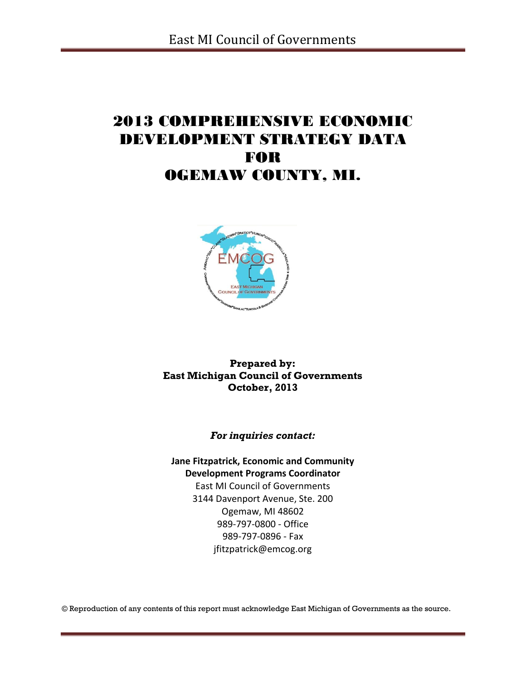# 2013 COMPREHENSIVE ECONOMIC DEVELOPMENT STRATEGY DATA FOR OGEMAW COUNTY, MI.



**Prepared by: East Michigan Council of Governments October, 2013**

*For inquiries contact:*

**Jane Fitzpatrick, Economic and Community Development Programs Coordinator** East MI Council of Governments 3144 Davenport Avenue, Ste. 200 Ogemaw, MI 48602 989-797-0800 - Office

989-797-0896 - Fax jfitzpatrick@emcog.org

© Reproduction of any contents of this report must acknowledge East Michigan of Governments as the source.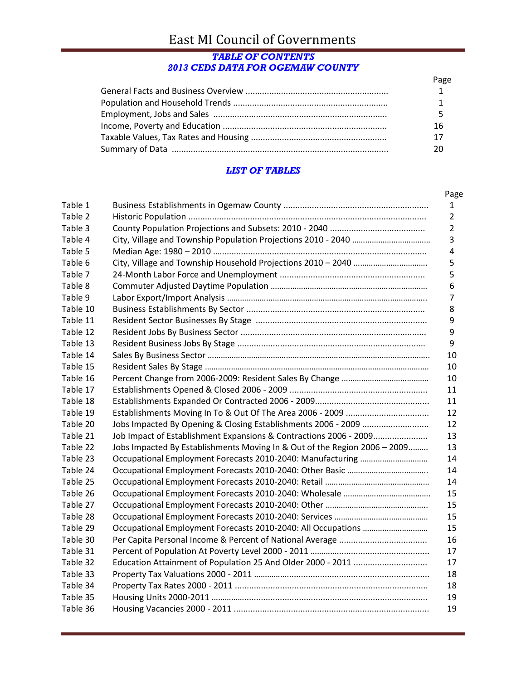## East MI Council of Governments

#### *TABLE OF CONTENTS 2013 CEDS DATA FOR OGEMAW COUNTY*

| ى ۔ |
|-----|
|     |
|     |
|     |
| 16  |
| 17  |
|     |
|     |

Page

#### *LIST OF TABLES*

#### Page Table 1 Business Establishments in Ogemaw County ............................................................. 1 Table 2 Historic Population .................................................................................................... 2 Table 3 County Population Projections and Subsets: 2010 - 2040 ........................................ 2 Table 4 City, Village and Township Population Projections 2010 - 2040 ……………………………… 3 Table 5 Median Age: 1980 – 2010 …....................................................................................... 4 Table 6 City, Village and Township Household Projections 2010 – 2040 ……………………………… Table 7 24-Month Labor Force and Unemployment ............................................................. 5 Table 8 Commuter Adjusted Daytime Population ……………………………………………………………… 6 Table 9 Labor Export/Import Analysis ……………………………………………………………………………….. 7 Table 10 Business Establishments By Sector ........................................................................... 8 Table 11 Resident Sector Businesses By Stage ........................................................................ 9 Table 12 Resident Jobs By Business Sector .............................................................................. 9 Table 13 Resident Business Jobs By Stage ............................................................................... 9 Table 14 Sales By Business Sector ………………………………………………………………………………….…….. 10 Table 15 Resident Sales By Stage …………………………………………………………………………………………. 10 Table 16 Percent Change from 2006-2009: Resident Sales By Change …………………………….…… 10 Table 17 Establishments Opened & Closed 2006 - 2009 .......................................................... 11 Table 18 Establishments Expanded Or Contracted 2006 - 2009................................................ 11 Table 19 Establishments Moving In To & Out Of The Area 2006 - 2009 ................................... 12 Table 20 Jobs Impacted By Opening & Closing Establishments 2006 - 2009 ............................ 12 Table 21 Job Impact of Establishment Expansions & Contractions 2006 - 2009....................... 13 Table 22 Jobs Impacted By Establishments Moving In & Out of the Region 2006 – 2009..……. 13 Table 23 Occupational Employment Forecasts 2010-2040: Manufacturing …….…………………… 14 Table 24 Occupational Employment Forecasts 2010-2040: Other Basic ……..……………………….. 14 Table 25 Occupational Employment Forecasts 2010-2040: Retail ………………………………………… 14 Table 26 Occupational Employment Forecasts 2010-2040: Wholesale …………………………………. 15 Table 27 Occupational Employment Forecasts 2010-2040: Other ……………………………………….. 15 Table 28 Occupational Employment Forecasts 2010-2040: Services ………….………………………… 15 Table 29 Occupational Employment Forecasts 2010-2040: All Occupations ………………………… 15 Table 30 Per Capita Personal Income & Percent of National Average ..................................... 16 Table 31 Percent of Population At Poverty Level 2000 - 2011 ……………………………………………………… Table 32 Education Attainment of Population 25 And Older 2000 - 2011 ............................... 17 Table 33 Property Tax Valuations 2000 - 2011 ……………............................................................ 18 Table 34 Property Tax Rates 2000 - 2011 ................................................................................. 18 Table 35 Housing Units 2000-2011 ……………............................................................................. 19 Table 36 Housing Vacancies 2000 - 2011 .................................................................................. 19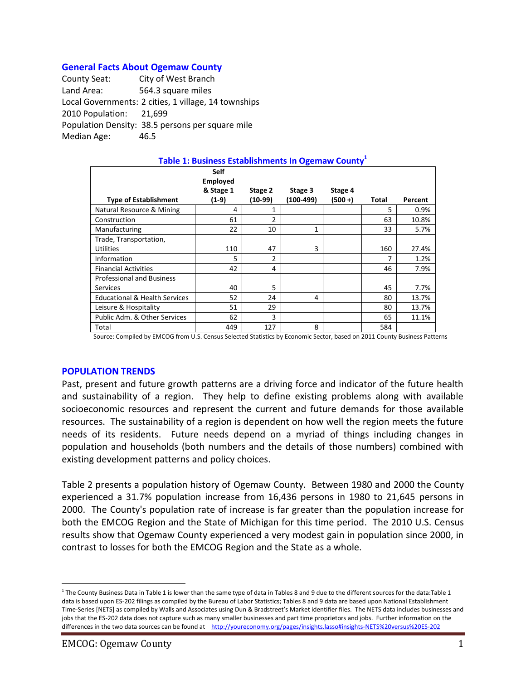#### **General Facts About Ogemaw County**

County Seat: City of West Branch Land Area: 564.3 square miles Local Governments: 2 cities, 1 village, 14 townships 2010 Population: 21,699 Population Density: 38.5 persons per square mile Median Age: 46.5

| Table 1: Business Establishments In Ogemaw County <sup>1</sup> |                                |                    |                      |                    |       |         |  |  |  |
|----------------------------------------------------------------|--------------------------------|--------------------|----------------------|--------------------|-------|---------|--|--|--|
|                                                                | <b>Self</b><br><b>Employed</b> |                    |                      |                    |       |         |  |  |  |
| <b>Type of Establishment</b>                                   | & Stage 1<br>(1-9)             | Stage 2<br>(10-99) | Stage 3<br>(100-499) | Stage 4<br>(500 +) | Total | Percent |  |  |  |
| Natural Resource & Mining                                      | 4                              |                    |                      |                    | 5     | 0.9%    |  |  |  |
| Construction                                                   | 61                             | $\overline{2}$     |                      |                    | 63    | 10.8%   |  |  |  |
| Manufacturing                                                  | 22                             | 10                 | 1                    |                    | 33    | 5.7%    |  |  |  |
| Trade, Transportation,                                         |                                |                    |                      |                    |       |         |  |  |  |
| <b>Utilities</b>                                               | 110                            | 47                 | 3                    |                    | 160   | 27.4%   |  |  |  |
| Information                                                    | 5                              | 2                  |                      |                    |       | 1.2%    |  |  |  |
| <b>Financial Activities</b>                                    | 42                             | 4                  |                      |                    | 46    | 7.9%    |  |  |  |
| <b>Professional and Business</b>                               |                                |                    |                      |                    |       |         |  |  |  |
| <b>Services</b>                                                | 40                             | 5                  |                      |                    | 45    | 7.7%    |  |  |  |
| <b>Educational &amp; Health Services</b>                       | 52                             | 24                 | 4                    |                    | 80    | 13.7%   |  |  |  |
| Leisure & Hospitality                                          | 51                             | 29                 |                      |                    | 80    | 13.7%   |  |  |  |
| Public Adm. & Other Services                                   | 62                             | 3                  |                      |                    | 65    | 11.1%   |  |  |  |
| Total                                                          | 449                            | 127                | 8                    |                    | 584   |         |  |  |  |

#### Source: Compiled by EMCOG from U.S. Census Selected Statistics by Economic Sector, based on 2011 County Business Patterns

#### **POPULATION TRENDS**

Past, present and future growth patterns are a driving force and indicator of the future health and sustainability of a region. They help to define existing problems along with available socioeconomic resources and represent the current and future demands for those available resources. The sustainability of a region is dependent on how well the region meets the future needs of its residents. Future needs depend on a myriad of things including changes in population and households (both numbers and the details of those numbers) combined with existing development patterns and policy choices.

Table 2 presents a population history of Ogemaw County. Between 1980 and 2000 the County experienced a 31.7% population increase from 16,436 persons in 1980 to 21,645 persons in 2000. The County's population rate of increase is far greater than the population increase for both the EMCOG Region and the State of Michigan for this time period. The 2010 U.S. Census results show that Ogemaw County experienced a very modest gain in population since 2000, in contrast to losses for both the EMCOG Region and the State as a whole.

 $\overline{a}$ 

<sup>&</sup>lt;sup>1</sup> The County Business Data in Table 1 is lower than the same type of data in Tables 8 and 9 due to the different sources for the data:Table 1 data is based upon ES-202 filings as compiled by the Bureau of Labor Statistics; Tables 8 and 9 data are based upon National Establishment Time-Series [NETS] as compiled by Walls and Associates using Dun & Bradstreet's Market identifier files. The NETS data includes businesses and jobs that the ES-202 data does not capture such as many smaller businesses and part time proprietors and jobs. Further information on the differences in the two data sources can be found at <http://youreconomy.org/pages/insights.lasso#insights-NETS%20versus%20ES-202>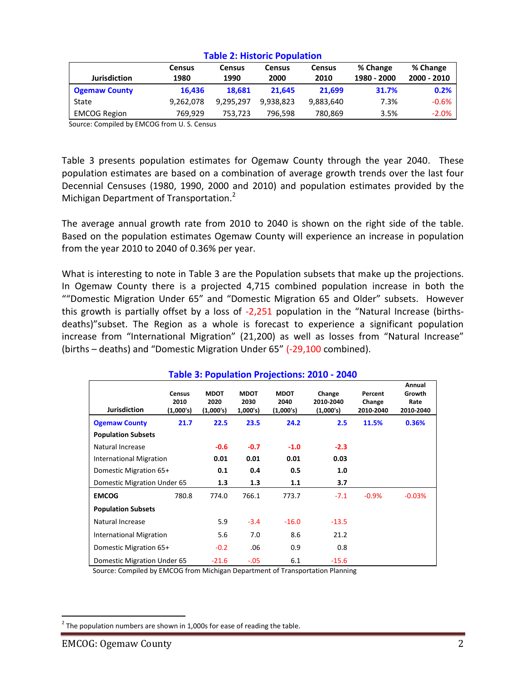|                      | Census    | <b>Census</b> | <b>Census</b> | <b>Census</b> | % Change    | % Change    |  |  |  |
|----------------------|-----------|---------------|---------------|---------------|-------------|-------------|--|--|--|
| <b>Jurisdiction</b>  | 1980      | 1990          | 2000          | 2010          | 1980 - 2000 | 2000 - 2010 |  |  |  |
| <b>Ogemaw County</b> | 16.436    | 18.681        | 21.645        | 21.699        | 31.7%       | 0.2%        |  |  |  |
| State                | 9,262,078 | 9,295,297     | 9.938.823     | 9,883,640     | 7.3%        | $-0.6%$     |  |  |  |
| <b>EMCOG Region</b>  | 769.929   | 753,723       | 796.598       | 780,869       | 3.5%        | $-2.0%$     |  |  |  |

#### **Table 2: Historic Population**

Source: Compiled by EMCOG from U. S. Census

Table 3 presents population estimates for Ogemaw County through the year 2040. These population estimates are based on a combination of average growth trends over the last four Decennial Censuses (1980, 1990, 2000 and 2010) and population estimates provided by the Michigan Department of Transportation.<sup>2</sup>

The average annual growth rate from 2010 to 2040 is shown on the right side of the table. Based on the population estimates Ogemaw County will experience an increase in population from the year 2010 to 2040 of 0.36% per year.

What is interesting to note in Table 3 are the Population subsets that make up the projections. In Ogemaw County there is a projected 4,715 combined population increase in both the ""Domestic Migration Under 65" and "Domestic Migration 65 and Older" subsets. However this growth is partially offset by a loss of -2,251 population in the "Natural Increase (birthsdeaths)"subset. The Region as a whole is forecast to experience a significant population increase from "International Migration" (21,200) as well as losses from "Natural Increase" (births – deaths) and "Domestic Migration Under 65" (-29,100 combined).

|                                | <u> Table 3. Fupulation Frujections. 2010 - 2040</u> |                                  |                                 |                                  |                                  |                                |                                       |  |  |
|--------------------------------|------------------------------------------------------|----------------------------------|---------------------------------|----------------------------------|----------------------------------|--------------------------------|---------------------------------------|--|--|
| <b>Jurisdiction</b>            | <b>Census</b><br>2010<br>(1,000's)                   | <b>MDOT</b><br>2020<br>(1,000's) | <b>MDOT</b><br>2030<br>1,000's) | <b>MDOT</b><br>2040<br>(1,000's) | Change<br>2010-2040<br>(1,000's) | Percent<br>Change<br>2010-2040 | Annual<br>Growth<br>Rate<br>2010-2040 |  |  |
| <b>Ogemaw County</b>           | 21.7                                                 | 22.5                             | 23.5                            | 24.2                             | 2.5                              | 11.5%                          | 0.36%                                 |  |  |
| <b>Population Subsets</b>      |                                                      |                                  |                                 |                                  |                                  |                                |                                       |  |  |
| Natural Increase               |                                                      | $-0.6$                           | $-0.7$                          | $-1.0$                           | $-2.3$                           |                                |                                       |  |  |
| <b>International Migration</b> |                                                      | 0.01                             | 0.01                            | 0.01                             | 0.03                             |                                |                                       |  |  |
| Domestic Migration 65+         |                                                      | 0.1                              | 0.4                             | 0.5                              | 1.0                              |                                |                                       |  |  |
| Domestic Migration Under 65    |                                                      | 1.3                              | 1.3                             | 1.1                              | 3.7                              |                                |                                       |  |  |
| <b>EMCOG</b>                   | 780.8                                                | 774.0                            | 766.1                           | 773.7                            | $-7.1$                           | $-0.9%$                        | $-0.03%$                              |  |  |
| <b>Population Subsets</b>      |                                                      |                                  |                                 |                                  |                                  |                                |                                       |  |  |
| Natural Increase               |                                                      | 5.9                              | $-3.4$                          | $-16.0$                          | $-13.5$                          |                                |                                       |  |  |
| <b>International Migration</b> |                                                      | 5.6                              | 7.0                             | 8.6                              | 21.2                             |                                |                                       |  |  |
| Domestic Migration 65+         |                                                      | $-0.2$                           | .06                             | 0.9                              | 0.8                              |                                |                                       |  |  |
| Domestic Migration Under 65    |                                                      | $-21.6$                          | $-.05$                          | 6.1                              | $-15.6$                          |                                |                                       |  |  |

## **Table 3: Population Projections: 2010 - 2040**

Source: Compiled by EMCOG from Michigan Department of Transportation Planning

 $\overline{a}$ 

 $^{2}$  The population numbers are shown in 1,000s for ease of reading the table.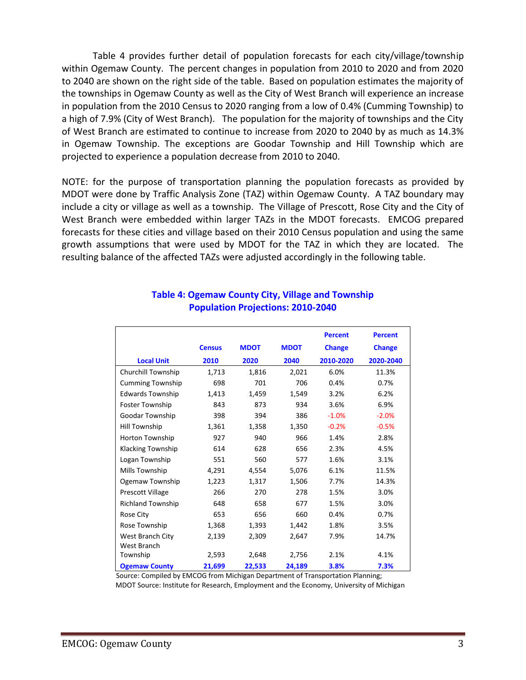Table 4 provides further detail of population forecasts for each city/village/township within Ogemaw County. The percent changes in population from 2010 to 2020 and from 2020 to 2040 are shown on the right side of the table. Based on population estimates the majority of the townships in Ogemaw County as well as the City of West Branch will experience an increase in population from the 2010 Census to 2020 ranging from a low of 0.4% (Cumming Township) to a high of 7.9% (City of West Branch). The population for the majority of townships and the City of West Branch are estimated to continue to increase from 2020 to 2040 by as much as 14.3% in Ogemaw Township. The exceptions are Goodar Township and Hill Township which are projected to experience a population decrease from 2010 to 2040.

NOTE: for the purpose of transportation planning the population forecasts as provided by MDOT were done by Traffic Analysis Zone (TAZ) within Ogemaw County. A TAZ boundary may include a city or village as well as a township. The Village of Prescott, Rose City and the City of West Branch were embedded within larger TAZs in the MDOT forecasts. EMCOG prepared forecasts for these cities and village based on their 2010 Census population and using the same growth assumptions that were used by MDOT for the TAZ in which they are located. The resulting balance of the affected TAZs were adjusted accordingly in the following table.

|                          |               |             |             | <b>Percent</b> | <b>Percent</b> |
|--------------------------|---------------|-------------|-------------|----------------|----------------|
|                          | <b>Census</b> | <b>MDOT</b> | <b>MDOT</b> | <b>Change</b>  | <b>Change</b>  |
| <b>Local Unit</b>        | 2010          | 2020        | 2040        | 2010-2020      | 2020-2040      |
| Churchill Township       | 1,713         | 1,816       | 2,021       | 6.0%           | 11.3%          |
| <b>Cumming Township</b>  | 698           | 701         | 706         | 0.4%           | 0.7%           |
| <b>Edwards Township</b>  | 1,413         | 1,459       | 1,549       | 3.2%           | 6.2%           |
| Foster Township          | 843           | 873         | 934         | 3.6%           | 6.9%           |
| Goodar Township          | 398           | 394         | 386         | $-1.0%$        | $-2.0%$        |
| <b>Hill Township</b>     | 1,361         | 1,358       | 1,350       | $-0.2%$        | $-0.5%$        |
| Horton Township          | 927           | 940         | 966         | 1.4%           | 2.8%           |
| <b>Klacking Township</b> | 614           | 628         | 656         | 2.3%           | 4.5%           |
| Logan Township           | 551           | 560         | 577         | 1.6%           | 3.1%           |
| Mills Township           | 4,291         | 4,554       | 5,076       | 6.1%           | 11.5%          |
| Ogemaw Township          | 1,223         | 1,317       | 1,506       | 7.7%           | 14.3%          |
| Prescott Village         | 266           | 270         | 278         | 1.5%           | 3.0%           |
| <b>Richland Township</b> | 648           | 658         | 677         | 1.5%           | 3.0%           |
| <b>Rose City</b>         | 653           | 656         | 660         | 0.4%           | 0.7%           |
| Rose Township            | 1,368         | 1,393       | 1,442       | 1.8%           | 3.5%           |
| West Branch City         | 2,139         | 2,309       | 2,647       | 7.9%           | 14.7%          |
| West Branch              |               |             |             |                |                |
| Township                 | 2,593         | 2,648       | 2,756       | 2.1%           | 4.1%           |
| <b>Ogemaw County</b>     | 21,699        | 22,533      | 24,189      | 3.8%           | 7.3%           |

#### **Table 4: Ogemaw County City, Village and Township Population Projections: 2010-2040**

 Source: Compiled by EMCOG from Michigan Department of Transportation Planning; MDOT Source: Institute for Research, Employment and the Economy, University of Michigan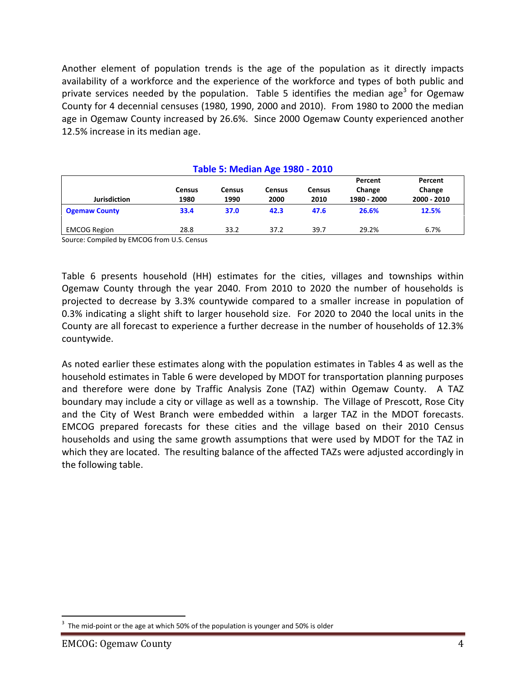Another element of population trends is the age of the population as it directly impacts availability of a workforce and the experience of the workforce and types of both public and private services needed by the population. Table 5 identifies the median age<sup>3</sup> for Ogemaw County for 4 decennial censuses (1980, 1990, 2000 and 2010). From 1980 to 2000 the median age in Ogemaw County increased by 26.6%. Since 2000 Ogemaw County experienced another 12.5% increase in its median age.

| Table 5: Median Age 1980 - 2010 |               |               |               |               |                   |                   |  |  |
|---------------------------------|---------------|---------------|---------------|---------------|-------------------|-------------------|--|--|
|                                 | <b>Census</b> | <b>Census</b> | <b>Census</b> | <b>Census</b> | Percent<br>Change | Percent<br>Change |  |  |
| <b>Jurisdiction</b>             | 1980          | 1990          | 2000          | 2010          | 1980 - 2000       | 2000 - 2010       |  |  |
| <b>Ogemaw County</b>            | 33.4          | 37.0          | 42.3          | 47.6          | 26.6%             | 12.5%             |  |  |
| <b>EMCOG Region</b>             | 28.8          | 33.2          | 37.2          | 39.7          | 29.2%             | 6.7%              |  |  |

#### **Table 5: Median Age 1980 - 2010**

Source: Compiled by EMCOG from U.S. Census

Table 6 presents household (HH) estimates for the cities, villages and townships within Ogemaw County through the year 2040. From 2010 to 2020 the number of households is projected to decrease by 3.3% countywide compared to a smaller increase in population of 0.3% indicating a slight shift to larger household size. For 2020 to 2040 the local units in the County are all forecast to experience a further decrease in the number of households of 12.3% countywide.

As noted earlier these estimates along with the population estimates in Tables 4 as well as the household estimates in Table 6 were developed by MDOT for transportation planning purposes and therefore were done by Traffic Analysis Zone (TAZ) within Ogemaw County. A TAZ boundary may include a city or village as well as a township. The Village of Prescott, Rose City and the City of West Branch were embedded within a larger TAZ in the MDOT forecasts. EMCOG prepared forecasts for these cities and the village based on their 2010 Census households and using the same growth assumptions that were used by MDOT for the TAZ in which they are located. The resulting balance of the affected TAZs were adjusted accordingly in the following table.

 $\overline{a}$ 

 $3$  The mid-point or the age at which 50% of the population is younger and 50% is older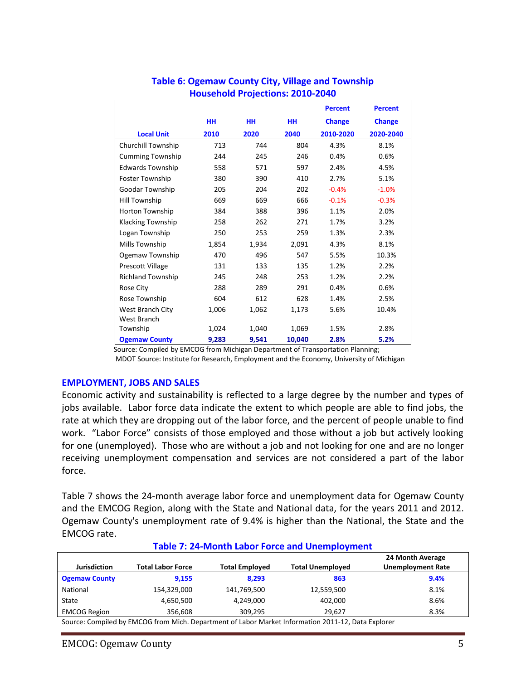|                          |           |       |        | <b>Percent</b> | <b>Percent</b> |
|--------------------------|-----------|-------|--------|----------------|----------------|
|                          | <b>HH</b> | HН    | HH     | <b>Change</b>  | <b>Change</b>  |
| <b>Local Unit</b>        | 2010      | 2020  | 2040   | 2010-2020      | 2020-2040      |
| Churchill Township       | 713       | 744   | 804    | 4.3%           | 8.1%           |
| <b>Cumming Township</b>  | 244       | 245   | 246    | 0.4%           | 0.6%           |
| <b>Edwards Township</b>  | 558       | 571   | 597    | 2.4%           | 4.5%           |
| Foster Township          | 380       | 390   | 410    | 2.7%           | 5.1%           |
| Goodar Township          | 205       | 204   | 202    | $-0.4%$        | $-1.0%$        |
| Hill Township            | 669       | 669   | 666    | $-0.1%$        | $-0.3%$        |
| Horton Township          | 384       | 388   | 396    | 1.1%           | 2.0%           |
| Klacking Township        | 258       | 262   | 271    | 1.7%           | 3.2%           |
| Logan Township           | 250       | 253   | 259    | 1.3%           | 2.3%           |
| Mills Township           | 1,854     | 1,934 | 2,091  | 4.3%           | 8.1%           |
| Ogemaw Township          | 470       | 496   | 547    | 5.5%           | 10.3%          |
| Prescott Village         | 131       | 133   | 135    | 1.2%           | 2.2%           |
| <b>Richland Township</b> | 245       | 248   | 253    | 1.2%           | 2.2%           |
| Rose City                | 288       | 289   | 291    | 0.4%           | 0.6%           |
| Rose Township            | 604       | 612   | 628    | 1.4%           | 2.5%           |
| West Branch City         | 1,006     | 1,062 | 1,173  | 5.6%           | 10.4%          |
| West Branch              |           |       |        |                |                |
| Township                 | 1,024     | 1,040 | 1,069  | 1.5%           | 2.8%           |
| <b>Ogemaw County</b>     | 9,283     | 9.541 | 10,040 | 2.8%           | 5.2%           |

### **Table 6: Ogemaw County City, Village and Township Household Projections: 2010-2040**

 Source: Compiled by EMCOG from Michigan Department of Transportation Planning; MDOT Source: Institute for Research, Employment and the Economy, University of Michigan

#### **EMPLOYMENT, JOBS AND SALES**

Economic activity and sustainability is reflected to a large degree by the number and types of jobs available. Labor force data indicate the extent to which people are able to find jobs, the rate at which they are dropping out of the labor force, and the percent of people unable to find work. "Labor Force" consists of those employed and those without a job but actively looking for one (unemployed). Those who are without a job and not looking for one and are no longer receiving unemployment compensation and services are not considered a part of the labor force.

Table 7 shows the 24-month average labor force and unemployment data for Ogemaw County and the EMCOG Region, along with the State and National data, for the years 2011 and 2012. Ogemaw County's unemployment rate of 9.4% is higher than the National, the State and the EMCOG rate.

|                                                                                                    |                          |                       |                         | 24 Month Average         |  |  |  |
|----------------------------------------------------------------------------------------------------|--------------------------|-----------------------|-------------------------|--------------------------|--|--|--|
| <b>Jurisdiction</b>                                                                                | <b>Total Labor Force</b> | <b>Total Employed</b> | <b>Total Unemployed</b> | <b>Unemployment Rate</b> |  |  |  |
| <b>Ogemaw County</b>                                                                               | 9.155                    | 8.293                 | 863                     | 9.4%                     |  |  |  |
| National                                                                                           | 154,329,000              | 141,769,500           | 12,559,500              | 8.1%                     |  |  |  |
| State                                                                                              | 4.650.500                | 4,249,000             | 402.000                 | 8.6%                     |  |  |  |
| <b>EMCOG Region</b>                                                                                | 356.608                  | 309.295               | 29.627                  | 8.3%                     |  |  |  |
| Source: Compiled by EMCOG from Mich, Department of Labor Market Information 2011-12. Data Evplorer |                          |                       |                         |                          |  |  |  |

#### **Table 7: 24-Month Labor Force and Unemployment**

Source: Compiled by EMCOG from Mich. Department of Labor Market Information 2011-12, Data Explorer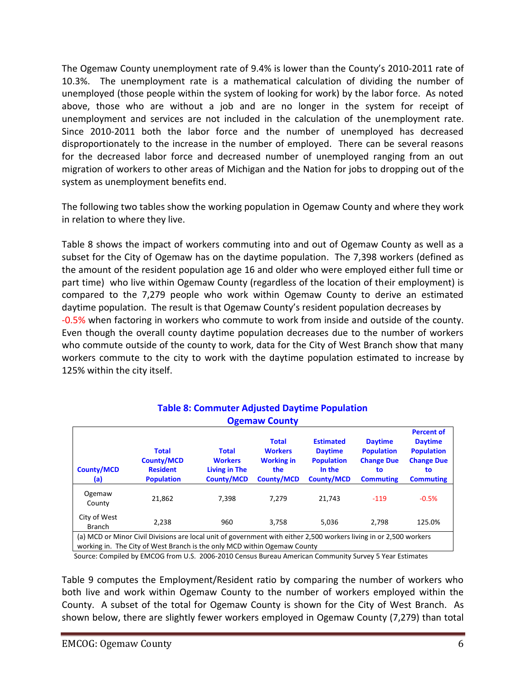The Ogemaw County unemployment rate of 9.4% is lower than the County's 2010-2011 rate of 10.3%. The unemployment rate is a mathematical calculation of dividing the number of unemployed (those people within the system of looking for work) by the labor force. As noted above, those who are without a job and are no longer in the system for receipt of unemployment and services are not included in the calculation of the unemployment rate. Since 2010-2011 both the labor force and the number of unemployed has decreased disproportionately to the increase in the number of employed. There can be several reasons for the decreased labor force and decreased number of unemployed ranging from an out migration of workers to other areas of Michigan and the Nation for jobs to dropping out of the system as unemployment benefits end.

The following two tables show the working population in Ogemaw County and where they work in relation to where they live.

Table 8 shows the impact of workers commuting into and out of Ogemaw County as well as a subset for the City of Ogemaw has on the daytime population. The 7,398 workers (defined as the amount of the resident population age 16 and older who were employed either full time or part time) who live within Ogemaw County (regardless of the location of their employment) is compared to the 7,279 people who work within Ogemaw County to derive an estimated daytime population. The result is that Ogemaw County's resident population decreases by -0.5% when factoring in workers who commute to work from inside and outside of the county. Even though the overall county daytime population decreases due to the number of workers who commute outside of the county to work, data for the City of West Branch show that many workers commute to the city to work with the daytime population estimated to increase by 125% within the city itself.

| <b>Ogemaw County</b>                                                                                                                                                                           |                                                                           |                                                               |                                                                                 |                                                                                        |                                                                                    |                                                                                                         |  |  |  |
|------------------------------------------------------------------------------------------------------------------------------------------------------------------------------------------------|---------------------------------------------------------------------------|---------------------------------------------------------------|---------------------------------------------------------------------------------|----------------------------------------------------------------------------------------|------------------------------------------------------------------------------------|---------------------------------------------------------------------------------------------------------|--|--|--|
| <b>County/MCD</b><br>(a)                                                                                                                                                                       | <b>Total</b><br><b>County/MCD</b><br><b>Resident</b><br><b>Population</b> | Total<br><b>Workers</b><br>Living in The<br><b>County/MCD</b> | <b>Total</b><br><b>Workers</b><br><b>Working in</b><br>the<br><b>County/MCD</b> | <b>Estimated</b><br><b>Daytime</b><br><b>Population</b><br>In the<br><b>County/MCD</b> | <b>Daytime</b><br><b>Population</b><br><b>Change Due</b><br>to<br><b>Commuting</b> | <b>Percent of</b><br><b>Daytime</b><br><b>Population</b><br><b>Change Due</b><br>to<br><b>Commuting</b> |  |  |  |
| Ogemaw<br>County                                                                                                                                                                               | 21.862                                                                    | 7.398                                                         | 7.279                                                                           | 21.743                                                                                 | $-119$                                                                             | $-0.5%$                                                                                                 |  |  |  |
| City of West<br><b>Branch</b>                                                                                                                                                                  | 2.238                                                                     | 960                                                           | 3.758                                                                           | 5.036                                                                                  | 2.798                                                                              | 125.0%                                                                                                  |  |  |  |
| (a) MCD or Minor Civil Divisions are local unit of government with either 2,500 workers living in or 2,500 workers<br>working in. The City of West Branch is the only MCD within Ogemaw County |                                                                           |                                                               |                                                                                 |                                                                                        |                                                                                    |                                                                                                         |  |  |  |

# **Table 8: Commuter Adjusted Daytime Population**

Source: Compiled by EMCOG from U.S. 2006-2010 Census Bureau American Community Survey 5 Year Estimates

Table 9 computes the Employment/Resident ratio by comparing the number of workers who both live and work within Ogemaw County to the number of workers employed within the County. A subset of the total for Ogemaw County is shown for the City of West Branch. As shown below, there are slightly fewer workers employed in Ogemaw County (7,279) than total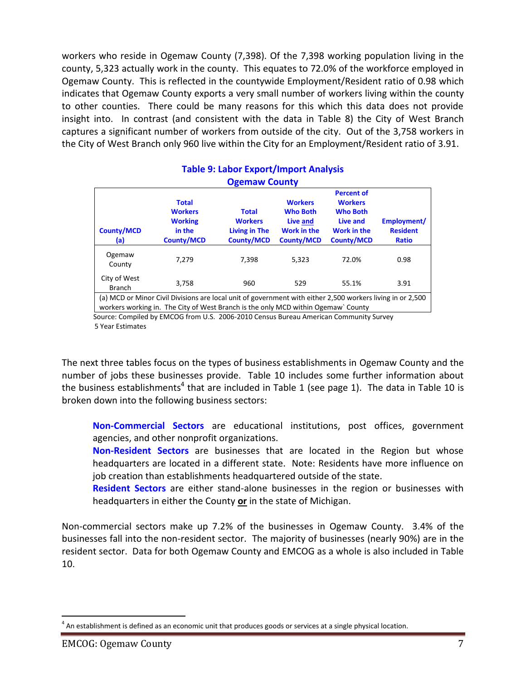workers who reside in Ogemaw County (7,398). Of the 7,398 working population living in the county, 5,323 actually work in the county. This equates to 72.0% of the workforce employed in Ogemaw County. This is reflected in the countywide Employment/Resident ratio of 0.98 which indicates that Ogemaw County exports a very small number of workers living within the county to other counties. There could be many reasons for this which this data does not provide insight into. In contrast (and consistent with the data in Table 8) the City of West Branch captures a significant number of workers from outside of the city. Out of the 3,758 workers in the City of West Branch only 960 live within the City for an Employment/Resident ratio of 3.91.

| <b>URCHIGW COUILY</b>                                                                                                                                                                           |                                                                                 |                                                                             |                                                                                          |                                                                                                        |                                                |  |  |  |  |
|-------------------------------------------------------------------------------------------------------------------------------------------------------------------------------------------------|---------------------------------------------------------------------------------|-----------------------------------------------------------------------------|------------------------------------------------------------------------------------------|--------------------------------------------------------------------------------------------------------|------------------------------------------------|--|--|--|--|
| <b>County/MCD</b><br>(a)                                                                                                                                                                        | <b>Total</b><br><b>Workers</b><br><b>Working</b><br>in the<br><b>County/MCD</b> | <b>Total</b><br><b>Workers</b><br><b>Living in The</b><br><b>County/MCD</b> | <b>Workers</b><br><b>Who Both</b><br>Live and<br><b>Work in the</b><br><b>County/MCD</b> | <b>Percent of</b><br><b>Workers</b><br><b>Who Both</b><br>Live and<br>Work in the<br><b>County/MCD</b> | Employment/<br><b>Resident</b><br><b>Ratio</b> |  |  |  |  |
| Ogemaw<br>County                                                                                                                                                                                | 7.279                                                                           | 7.398                                                                       | 5.323                                                                                    | 72.0%                                                                                                  | 0.98                                           |  |  |  |  |
| City of West<br><b>Branch</b>                                                                                                                                                                   | 3,758                                                                           | 960                                                                         | 529                                                                                      | 55.1%                                                                                                  | 3.91                                           |  |  |  |  |
| (a) MCD or Minor Civil Divisions are local unit of government with either 2,500 workers living in or 2,500<br>workers working in. The City of West Branch is the only MCD within Ogemaw` County |                                                                                 |                                                                             |                                                                                          |                                                                                                        |                                                |  |  |  |  |

#### **Table 9: Labor Export/Import Analysis Ogemaw County**

 Source: Compiled by EMCOG from U.S. 2006-2010 Census Bureau American Community Survey 5 Year Estimates

The next three tables focus on the types of business establishments in Ogemaw County and the number of jobs these businesses provide. Table 10 includes some further information about the business establishments<sup>4</sup> that are included in Table 1 (see page 1). The data in Table 10 is broken down into the following business sectors:

**Non-Commercial Sectors** are educational institutions, post offices, government agencies, and other nonprofit organizations.

**Non-Resident Sectors** are businesses that are located in the Region but whose headquarters are located in a different state. Note: Residents have more influence on job creation than establishments headquartered outside of the state.

**Resident Sectors** are either stand-alone businesses in the region or businesses with headquarters in either the County **or** in the state of Michigan.

Non-commercial sectors make up 7.2% of the businesses in Ogemaw County. 3.4% of the businesses fall into the non-resident sector. The majority of businesses (nearly 90%) are in the resident sector. Data for both Ogemaw County and EMCOG as a whole is also included in Table 10.

 $\overline{a}$  $<sup>4</sup>$  An establishment is defined as an economic unit that produces goods or services at a single physical location.</sup>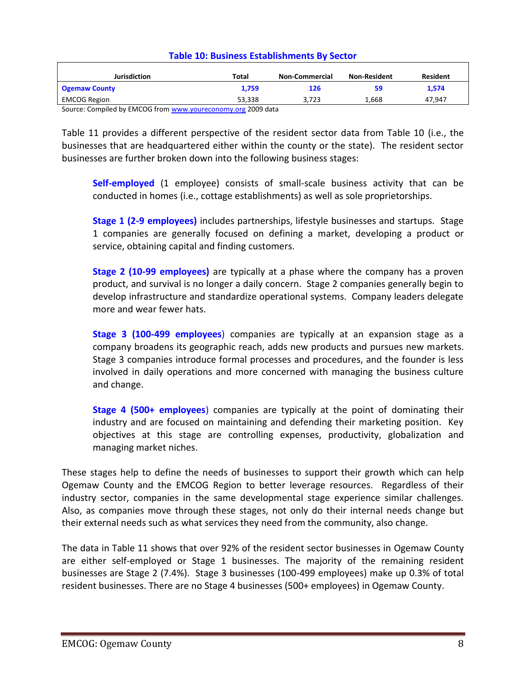| <b>Jurisdiction</b>                                          | Total  | <b>Non-Commercial</b> | <b>Non-Resident</b> | <b>Resident</b> |
|--------------------------------------------------------------|--------|-----------------------|---------------------|-----------------|
| <b>Ogemaw County</b>                                         | 1.759  | 126                   | 59                  | 1.574           |
| <b>EMCOG Region</b>                                          | 53.338 | 3.723                 | 1.668               | 47.947          |
| Source: Compiled by EMCOG from www.voureconomy.org 2009 data |        |                       |                     |                 |

#### **Table 10: Business Establishments By Sector**

Source: Compiled by EMCOG from <u>www.youreconomy.org</u> 2009 data

Table 11 provides a different perspective of the resident sector data from Table 10 (i.e., the businesses that are headquartered either within the county or the state). The resident sector businesses are further broken down into the following business stages:

**Self-employed** (1 employee) consists of small-scale business activity that can be conducted in homes (i.e., cottage establishments) as well as sole proprietorships.

**Stage 1 (2-9 employees)** includes partnerships, lifestyle businesses and startups. Stage 1 companies are generally focused on defining a market, developing a product or service, obtaining capital and finding customers.

**Stage 2 (10-99 employees)** are typically at a phase where the company has a proven product, and survival is no longer a daily concern. Stage 2 companies generally begin to develop infrastructure and standardize operational systems. Company leaders delegate more and wear fewer hats.

**Stage 3 (100-499 employees**) companies are typically at an expansion stage as a company broadens its geographic reach, adds new products and pursues new markets. Stage 3 companies introduce formal processes and procedures, and the founder is less involved in daily operations and more concerned with managing the business culture and change.

**Stage 4 (500+ employees**) companies are typically at the point of dominating their industry and are focused on maintaining and defending their marketing position. Key objectives at this stage are controlling expenses, productivity, globalization and managing market niches.

These stages help to define the needs of businesses to support their growth which can help Ogemaw County and the EMCOG Region to better leverage resources. Regardless of their industry sector, companies in the same developmental stage experience similar challenges. Also, as companies move through these stages, not only do their internal needs change but their external needs such as what services they need from the community, also change.

The data in Table 11 shows that over 92% of the resident sector businesses in Ogemaw County are either self-employed or Stage 1 businesses. The majority of the remaining resident businesses are Stage 2 (7.4%). Stage 3 businesses (100-499 employees) make up 0.3% of total resident businesses. There are no Stage 4 businesses (500+ employees) in Ogemaw County.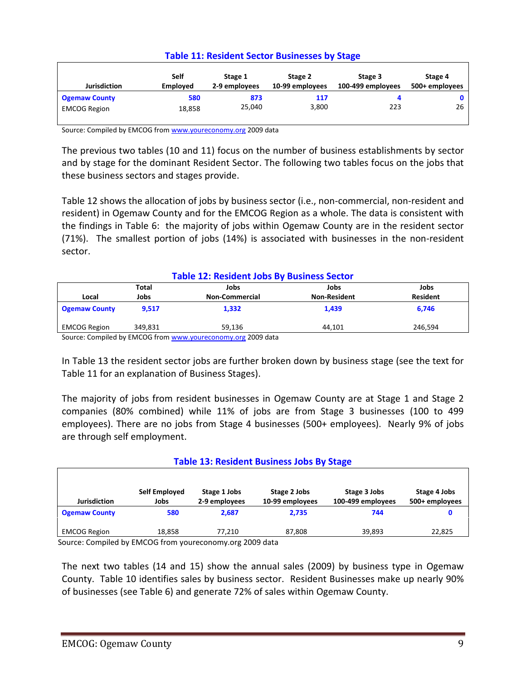| Table 11. Resident Sector Dusinesses by Stage |                         |                          |                            |                              |                           |  |  |  |
|-----------------------------------------------|-------------------------|--------------------------|----------------------------|------------------------------|---------------------------|--|--|--|
| <b>Jurisdiction</b>                           | Self<br><b>Emploved</b> | Stage 1<br>2-9 employees | Stage 2<br>10-99 employees | Stage 3<br>100-499 employees | Stage 4<br>500+ employees |  |  |  |
| <b>Ogemaw County</b>                          | 580                     | 873                      | 117                        |                              |                           |  |  |  |
| <b>EMCOG Region</b>                           | 18,858                  | 25,040                   | 3,800                      | 223                          | 26                        |  |  |  |

**Table 11: Resident Sector Businesses by Stage**

Source: Compiled by EMCOG fro[m www.youreconomy.org](http://www.youreconomy.org/) 2009 data

The previous two tables (10 and 11) focus on the number of business establishments by sector and by stage for the dominant Resident Sector. The following two tables focus on the jobs that these business sectors and stages provide.

Table 12 shows the allocation of jobs by business sector (i.e., non-commercial, non-resident and resident) in Ogemaw County and for the EMCOG Region as a whole. The data is consistent with the findings in Table 6: the majority of jobs within Ogemaw County are in the resident sector (71%). The smallest portion of jobs (14%) is associated with businesses in the non-resident sector.

| <b>Table 12: Resident Jobs By Business Sector</b> |         |                                                              |                     |                 |  |  |
|---------------------------------------------------|---------|--------------------------------------------------------------|---------------------|-----------------|--|--|
|                                                   | Total   | Jobs                                                         | Jobs                | Jobs            |  |  |
| Local                                             | Jobs    | <b>Non-Commercial</b>                                        | <b>Non-Resident</b> | <b>Resident</b> |  |  |
| <b>Ogemaw County</b>                              | 9.517   | 1.332                                                        | 1,439               | 6,746           |  |  |
| <b>EMCOG Region</b>                               | 349.831 | 59,136                                                       | 44.101              | 246.594         |  |  |
|                                                   |         | Source: Compiled by EMCOG from www.voureconomy.org 2009 data |                     |                 |  |  |

Source: Compiled by EMCOG fro[m www.youreconomy.org](http://www.youreconomy.org/) 2009 data

In Table 13 the resident sector jobs are further broken down by business stage (see the text for Table 11 for an explanation of Business Stages).

The majority of jobs from resident businesses in Ogemaw County are at Stage 1 and Stage 2 companies (80% combined) while 11% of jobs are from Stage 3 businesses (100 to 499 employees). There are no jobs from Stage 4 businesses (500+ employees). Nearly 9% of jobs are through self employment.

#### **Table 13: Resident Business Jobs By Stage**

| <b>Jurisdiction</b>                                                                                                                                                                                                                             | Self Employed<br>Jobs | Stage 1 Jobs<br>2-9 employees | Stage 2 Jobs<br>10-99 employees | Stage 3 Jobs<br>100-499 employees | Stage 4 Jobs<br>500+ employees |
|-------------------------------------------------------------------------------------------------------------------------------------------------------------------------------------------------------------------------------------------------|-----------------------|-------------------------------|---------------------------------|-----------------------------------|--------------------------------|
| <b>Ogemaw County</b>                                                                                                                                                                                                                            | 580                   | 2.687                         | 2.735                           | 744                               |                                |
| <b>EMCOG Region</b>                                                                                                                                                                                                                             | 18.858                | 77.210                        | 87,808                          | 39.893                            | 22,825                         |
| $C_{2}$ and $C_{3}$ and $C_{4}$ and $C_{5}$ and $C_{6}$ and $C_{7}$ and $C_{7}$ and $C_{7}$ and $C_{7}$ and $C_{7}$ and $C_{7}$ and $C_{7}$ and $C_{7}$ and $C_{7}$ and $C_{7}$ and $C_{7}$ and $C_{7}$ and $C_{7}$ and $C_{7}$ and $C_{7}$ and |                       |                               |                                 |                                   |                                |

Source: Compiled by EMCOG from youreconomy.org 2009 data

The next two tables (14 and 15) show the annual sales (2009) by business type in Ogemaw County. Table 10 identifies sales by business sector. Resident Businesses make up nearly 90% of businesses (see Table 6) and generate 72% of sales within Ogemaw County.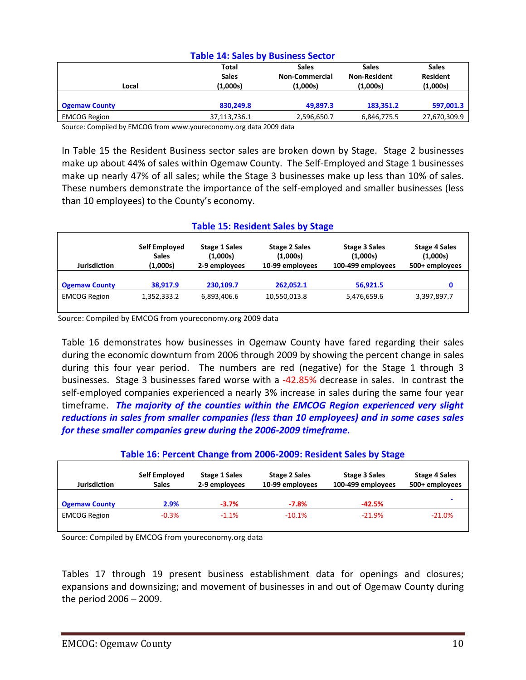#### **Table 14: Sales by Business Sector**

| Local                | <b>Total</b><br><b>Sales</b><br>(1,000s) | <b>Sales</b><br><b>Non-Commercial</b><br>(1,000s) | <b>Sales</b><br><b>Non-Resident</b><br>(1,000s) | <b>Sales</b><br><b>Resident</b><br>(1,000s) |
|----------------------|------------------------------------------|---------------------------------------------------|-------------------------------------------------|---------------------------------------------|
| <b>Ogemaw County</b> | 830,249.8                                | 49.897.3                                          | 183,351.2                                       | 597,001.3                                   |
| <b>EMCOG Region</b>  | 37,113,736.1                             | 2,596,650.7                                       | 6,846,775.5                                     | 27,670,309.9                                |

Source: Compiled by EMCOG from www.youreconomy.org data 2009 data

In Table 15 the Resident Business sector sales are broken down by Stage. Stage 2 businesses make up about 44% of sales within Ogemaw County. The Self-Employed and Stage 1 businesses make up nearly 47% of all sales; while the Stage 3 businesses make up less than 10% of sales. These numbers demonstrate the importance of the self-employed and smaller businesses (less than 10 employees) to the County's economy.

#### **Table 15: Resident Sales by Stage**

| <b>Jurisdiction</b>  | Self Employed<br><b>Sales</b><br>(1,000s) | <b>Stage 1 Sales</b><br>(1,000s)<br>2-9 employees | <b>Stage 2 Sales</b><br>(1,000s)<br>10-99 employees | Stage 3 Sales<br>(1,000s)<br>100-499 employees | <b>Stage 4 Sales</b><br>(1,000s)<br>500+ employees |
|----------------------|-------------------------------------------|---------------------------------------------------|-----------------------------------------------------|------------------------------------------------|----------------------------------------------------|
| <b>Ogemaw County</b> | 38.917.9                                  | 230,109.7                                         | 262,052.1                                           | 56,921.5                                       |                                                    |
| <b>EMCOG Region</b>  | 1,352,333.2                               | 6,893,406.6                                       | 10,550,013.8                                        | 5,476,659.6                                    | 3,397,897.7                                        |

Source: Compiled by EMCOG from youreconomy.org 2009 data

Table 16 demonstrates how businesses in Ogemaw County have fared regarding their sales during the economic downturn from 2006 through 2009 by showing the percent change in sales during this four year period. The numbers are red (negative) for the Stage 1 through 3 businesses. Stage 3 businesses fared worse with a -42.85% decrease in sales. In contrast the self-employed companies experienced a nearly 3% increase in sales during the same four year timeframe. *The majority of the counties within the EMCOG Region experienced very slight reductions in sales from smaller companies (less than 10 employees) and in some cases sales for these smaller companies grew during the 2006-2009 timeframe.*

#### **Table 16: Percent Change from 2006-2009: Resident Sales by Stage**

| <b>Jurisdiction</b>  | Self Employed<br><b>Sales</b> | <b>Stage 1 Sales</b><br>2-9 employees | <b>Stage 2 Sales</b><br>10-99 employees | <b>Stage 3 Sales</b><br>100-499 employees | <b>Stage 4 Sales</b><br>500+ employees |
|----------------------|-------------------------------|---------------------------------------|-----------------------------------------|-------------------------------------------|----------------------------------------|
| <b>Ogemaw County</b> | 2.9%                          | $-3.7\%$                              | -7.8%                                   | $-42.5%$                                  |                                        |
| <b>EMCOG Region</b>  | $-0.3%$                       | $-1.1%$                               | $-10.1%$                                | $-21.9%$                                  | $-21.0%$                               |

Source: Compiled by EMCOG from youreconomy.org data

Tables 17 through 19 present business establishment data for openings and closures; expansions and downsizing; and movement of businesses in and out of Ogemaw County during the period 2006 – 2009.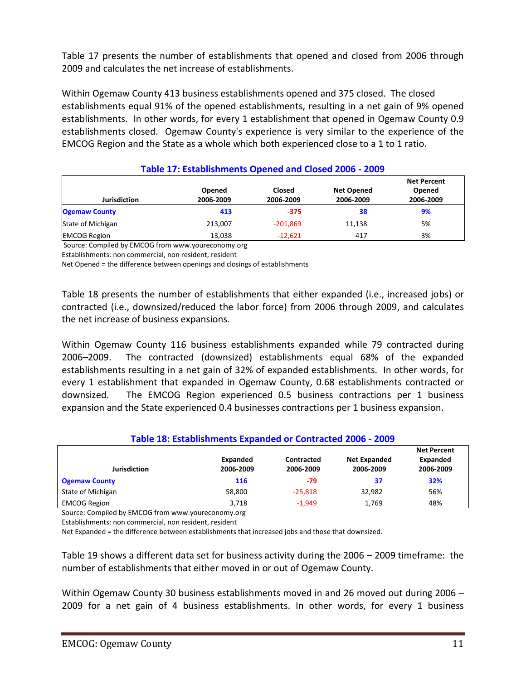Table 17 presents the number of establishments that opened and closed from 2006 through 2009 and calculates the net increase of establishments.

Within Ogemaw County 413 business establishments opened and 375 closed. The closed establishments equal 91% of the opened establishments, resulting in a net gain of 9% opened establishments. In other words, for every 1 establishment that opened in Ogemaw County 0.9 establishments closed. Ogemaw County's experience is very similar to the experience of the EMCOG Region and the State as a whole which both experienced close to a 1 to 1 ratio.

|                      |                     |                            |                                | <b>Net Percent</b>  |
|----------------------|---------------------|----------------------------|--------------------------------|---------------------|
| <b>Jurisdiction</b>  | Opened<br>2006-2009 | <b>Closed</b><br>2006-2009 | <b>Net Opened</b><br>2006-2009 | Opened<br>2006-2009 |
| <b>Ogemaw County</b> | 413                 | $-375$                     | 38                             | 9%                  |
| State of Michigan    | 213,007             | $-201,869$                 | 11,138                         | 5%                  |
| <b>EMCOG Region</b>  | 13,038              | $-12.621$                  | 417                            | 3%                  |

#### **Table 17: Establishments Opened and Closed 2006 - 2009**

Source: Compiled by EMCOG from www.youreconomy.org

Establishments: non commercial, non resident, resident

Net Opened = the difference between openings and closings of establishments

Table 18 presents the number of establishments that either expanded (i.e., increased jobs) or contracted (i.e., downsized/reduced the labor force) from 2006 through 2009, and calculates the net increase of business expansions.

Within Ogemaw County 116 business establishments expanded while 79 contracted during 2006–2009. The contracted (downsized) establishments equal 68% of the expanded establishments resulting in a net gain of 32% of expanded establishments. In other words, for every 1 establishment that expanded in Ogemaw County, 0.68 establishments contracted or downsized. The EMCOG Region experienced 0.5 business contractions per 1 business expansion and the State experienced 0.4 businesses contractions per 1 business expansion.

#### **Table 18: Establishments Expanded or Contracted 2006 - 2009**

|                      |           |            |                     | <b>Net Percent</b> |
|----------------------|-----------|------------|---------------------|--------------------|
|                      | Expanded  | Contracted | <b>Net Expanded</b> | Expanded           |
| <b>Jurisdiction</b>  | 2006-2009 | 2006-2009  | 2006-2009           | 2006-2009          |
| <b>Ogemaw County</b> | 116       | -79        | 37                  | 32%                |
| State of Michigan    | 58,800    | $-25.818$  | 32.982              | 56%                |
| <b>EMCOG Region</b>  | 3.718     | $-1.949$   | 1.769               | 48%                |

Source: Compiled by EMCOG from www.youreconomy.org

Establishments: non commercial, non resident, resident

Net Expanded = the difference between establishments that increased jobs and those that downsized.

Table 19 shows a different data set for business activity during the 2006 – 2009 timeframe: the number of establishments that either moved in or out of Ogemaw County.

Within Ogemaw County 30 business establishments moved in and 26 moved out during 2006 – 2009 for a net gain of 4 business establishments. In other words, for every 1 business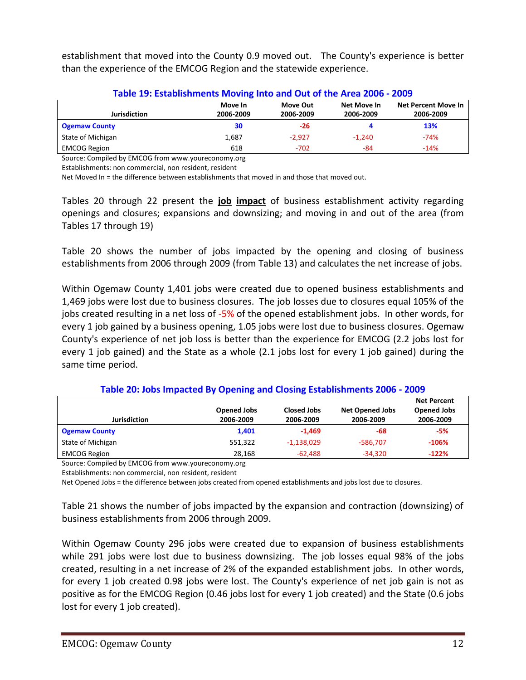establishment that moved into the County 0.9 moved out. The County's experience is better than the experience of the EMCOG Region and the statewide experience.

| Table 19: Establishments Moving Into and Out of the Area 2006 - 2009 |                     |           |           |           |  |  |
|----------------------------------------------------------------------|---------------------|-----------|-----------|-----------|--|--|
|                                                                      | Net Percent Move In |           |           |           |  |  |
| <b>Jurisdiction</b>                                                  | 2006-2009           | 2006-2009 | 2006-2009 | 2006-2009 |  |  |
| <b>Ogemaw County</b>                                                 | 30                  | $-26$     |           | 13%       |  |  |
| State of Michigan                                                    | 1,687               | $-2.927$  | $-1.240$  | $-74%$    |  |  |
| <b>EMCOG Region</b>                                                  | 618                 | $-702$    | -84       | $-14%$    |  |  |

Source: Compiled by EMCOG from www.youreconomy.org

Establishments: non commercial, non resident, resident

Net Moved In = the difference between establishments that moved in and those that moved out.

Tables 20 through 22 present the **job impact** of business establishment activity regarding openings and closures; expansions and downsizing; and moving in and out of the area (from Tables 17 through 19)

Table 20 shows the number of jobs impacted by the opening and closing of business establishments from 2006 through 2009 (from Table 13) and calculates the net increase of jobs.

Within Ogemaw County 1,401 jobs were created due to opened business establishments and 1,469 jobs were lost due to business closures. The job losses due to closures equal 105% of the jobs created resulting in a net loss of -5% of the opened establishment jobs. In other words, for every 1 job gained by a business opening, 1.05 jobs were lost due to business closures. Ogemaw County's experience of net job loss is better than the experience for EMCOG (2.2 jobs lost for every 1 job gained) and the State as a whole (2.1 jobs lost for every 1 job gained) during the same time period.

#### **Table 20: Jobs Impacted By Opening and Closing Establishments 2006 - 2009**

| Jurisdiction         | <b>Opened Jobs</b><br>2006-2009 | <b>Closed Jobs</b><br>2006-2009 | <b>Net Opened Jobs</b><br>2006-2009 | <b>Net Percent</b><br><b>Opened Jobs</b><br>2006-2009 |
|----------------------|---------------------------------|---------------------------------|-------------------------------------|-------------------------------------------------------|
| <b>Ogemaw County</b> | 1,401                           | $-1.469$                        | -68                                 | -5%                                                   |
| State of Michigan    | 551,322                         | $-1,138,029$                    | -586.707                            | $-106%$                                               |
| <b>EMCOG Region</b>  | 28,168                          | $-62.488$                       | $-34.320$                           | $-122%$                                               |

Source: Compiled by EMCOG from www.youreconomy.org

Establishments: non commercial, non resident, resident

Net Opened Jobs = the difference between jobs created from opened establishments and jobs lost due to closures.

Table 21 shows the number of jobs impacted by the expansion and contraction (downsizing) of business establishments from 2006 through 2009.

Within Ogemaw County 296 jobs were created due to expansion of business establishments while 291 jobs were lost due to business downsizing. The job losses equal 98% of the jobs created, resulting in a net increase of 2% of the expanded establishment jobs. In other words, for every 1 job created 0.98 jobs were lost. The County's experience of net job gain is not as positive as for the EMCOG Region (0.46 jobs lost for every 1 job created) and the State (0.6 jobs lost for every 1 job created).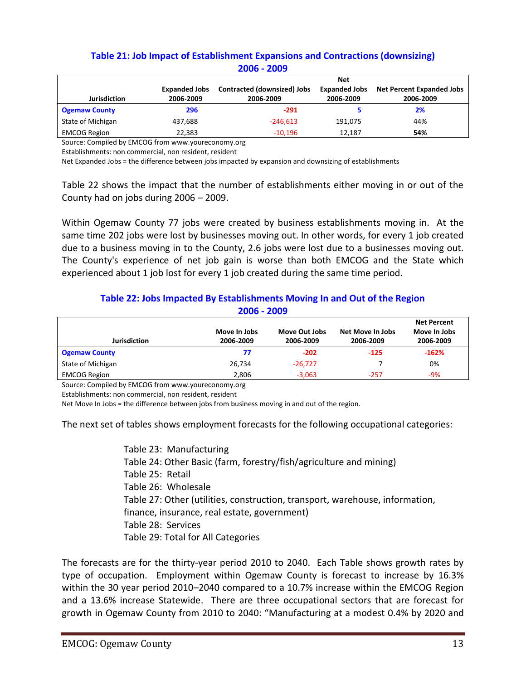#### **Table 21: Job Impact of Establishment Expansions and Contractions (downsizing) 2006 - 2009**

|                      |                      | <b>Net</b>                  |                      |                                  |  |  |
|----------------------|----------------------|-----------------------------|----------------------|----------------------------------|--|--|
|                      | <b>Expanded Jobs</b> | Contracted (downsized) Jobs | <b>Expanded Jobs</b> | <b>Net Percent Expanded Jobs</b> |  |  |
| <b>Jurisdiction</b>  | 2006-2009            | 2006-2009                   | 2006-2009            | 2006-2009                        |  |  |
| <b>Ogemaw County</b> | 296                  | -291                        |                      | 2%                               |  |  |
| State of Michigan    | 437.688              | $-246.613$                  | 191.075              | 44%                              |  |  |
| <b>EMCOG Region</b>  | 22,383               | $-10,196$                   | 12.187               | 54%                              |  |  |

Source: Compiled by EMCOG from www.youreconomy.org

Establishments: non commercial, non resident, resident

Net Expanded Jobs = the difference between jobs impacted by expansion and downsizing of establishments

Table 22 shows the impact that the number of establishments either moving in or out of the County had on jobs during 2006 – 2009.

Within Ogemaw County 77 jobs were created by business establishments moving in. At the same time 202 jobs were lost by businesses moving out. In other words, for every 1 job created due to a business moving in to the County, 2.6 jobs were lost due to a businesses moving out. The County's experience of net job gain is worse than both EMCOG and the State which experienced about 1 job lost for every 1 job created during the same time period.

#### **Table 22: Jobs Impacted By Establishments Moving In and Out of the Region 2006 - 2009**

|                      |                           |                            |                               | <b>Net Percent</b>        |
|----------------------|---------------------------|----------------------------|-------------------------------|---------------------------|
| <b>Jurisdiction</b>  | Move In Jobs<br>2006-2009 | Move Out Jobs<br>2006-2009 | Net Move In Jobs<br>2006-2009 | Move In Jobs<br>2006-2009 |
| <b>Ogemaw County</b> | 77                        | $-202$                     | $-125$                        | $-162%$                   |
| State of Michigan    | 26,734                    | $-26.727$                  |                               | 0%                        |
| <b>EMCOG Region</b>  | 2,806                     | $-3,063$                   | $-257$                        | -9%                       |

Source: Compiled by EMCOG from www.youreconomy.org

Establishments: non commercial, non resident, resident

Net Move In Jobs = the difference between jobs from business moving in and out of the region.

The next set of tables shows employment forecasts for the following occupational categories:

Table 23: Manufacturing Table 24: Other Basic (farm, forestry/fish/agriculture and mining) Table 25: Retail Table 26: Wholesale Table 27: Other (utilities, construction, transport, warehouse, information, finance, insurance, real estate, government) Table 28: Services Table 29: Total for All Categories

The forecasts are for the thirty-year period 2010 to 2040. Each Table shows growth rates by type of occupation. Employment within Ogemaw County is forecast to increase by 16.3% within the 30 year period 2010–2040 compared to a 10.7% increase within the EMCOG Region and a 13.6% increase Statewide. There are three occupational sectors that are forecast for growth in Ogemaw County from 2010 to 2040: "Manufacturing at a modest 0.4% by 2020 and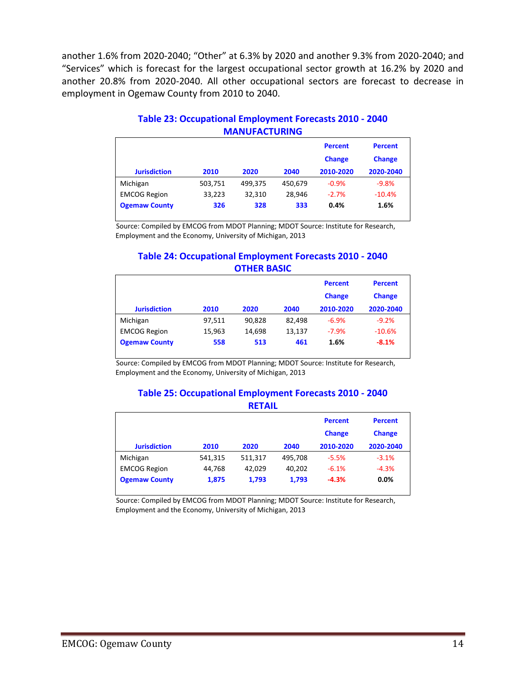another 1.6% from 2020-2040; "Other" at 6.3% by 2020 and another 9.3% from 2020-2040; and "Services" which is forecast for the largest occupational sector growth at 16.2% by 2020 and another 20.8% from 2020-2040. All other occupational sectors are forecast to decrease in employment in Ogemaw County from 2010 to 2040.

|                      |         |         |         | <b>Percent</b><br><b>Change</b> | <b>Percent</b><br><b>Change</b> |  |
|----------------------|---------|---------|---------|---------------------------------|---------------------------------|--|
| <b>Jurisdiction</b>  | 2010    | 2020    | 2040    | 2010-2020                       | 2020-2040                       |  |
| Michigan             | 503,751 | 499,375 | 450,679 | $-0.9%$                         | $-9.8%$                         |  |
| <b>EMCOG Region</b>  | 33,223  | 32,310  | 28.946  | $-2.7%$                         | $-10.4%$                        |  |
| <b>Ogemaw County</b> | 326     | 328     | 333     | 0.4%                            | 1.6%                            |  |

#### **Table 23: Occupational Employment Forecasts 2010 - 2040 MANUFACTURING**

Source: Compiled by EMCOG from MDOT Planning; MDOT Source: Institute for Research, Employment and the Economy, University of Michigan, 2013

#### **Table 24: Occupational Employment Forecasts 2010 - 2040 OTHER BASIC**

|                      |        |        |        | <b>Percent</b><br><b>Change</b> | <b>Percent</b><br><b>Change</b> |
|----------------------|--------|--------|--------|---------------------------------|---------------------------------|
| <b>Jurisdiction</b>  | 2010   | 2020   | 2040   | 2010-2020                       | 2020-2040                       |
| Michigan             | 97,511 | 90,828 | 82,498 | $-6.9%$                         | $-9.2%$                         |
| <b>EMCOG Region</b>  | 15,963 | 14,698 | 13,137 | $-7.9%$                         | $-10.6%$                        |
| <b>Ogemaw County</b> | 558    | 513    | 461    | 1.6%                            | $-8.1%$                         |

Source: Compiled by EMCOG from MDOT Planning; MDOT Source: Institute for Research, Employment and the Economy, University of Michigan, 2013

#### **Table 25: Occupational Employment Forecasts 2010 - 2040 RETAIL**

|                      |         |         |         | <b>Percent</b> | <b>Percent</b> |
|----------------------|---------|---------|---------|----------------|----------------|
|                      |         |         |         | <b>Change</b>  | <b>Change</b>  |
| <b>Jurisdiction</b>  | 2010    | 2020    | 2040    | 2010-2020      | 2020-2040      |
| Michigan             | 541,315 | 511,317 | 495,708 | $-5.5%$        | $-3.1%$        |
| <b>EMCOG Region</b>  | 44,768  | 42.029  | 40,202  | $-6.1%$        | $-4.3%$        |
| <b>Ogemaw County</b> | 1,875   | 1,793   | 1,793   | $-4.3%$        | 0.0%           |

Source: Compiled by EMCOG from MDOT Planning; MDOT Source: Institute for Research, Employment and the Economy, University of Michigan, 2013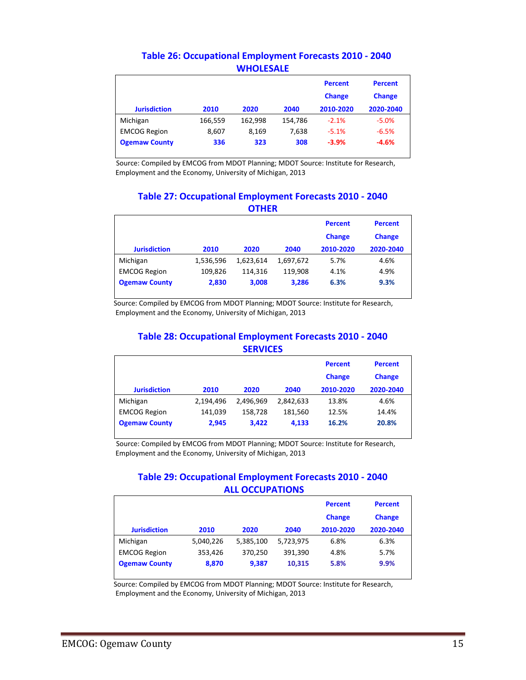|                      |         |         |         | <b>Percent</b><br><b>Change</b> | <b>Percent</b><br><b>Change</b> |
|----------------------|---------|---------|---------|---------------------------------|---------------------------------|
| <b>Jurisdiction</b>  | 2010    | 2020    | 2040    | 2010-2020                       | 2020-2040                       |
| Michigan             | 166,559 | 162,998 | 154,786 | $-2.1%$                         | $-5.0%$                         |
| <b>EMCOG Region</b>  | 8,607   | 8,169   | 7,638   | $-5.1%$                         | $-6.5%$                         |
| <b>Ogemaw County</b> | 336     | 323     | 308     | $-3.9%$                         | $-4.6%$                         |

#### **Table 26: Occupational Employment Forecasts 2010 - 2040 WHOLESALE**

Source: Compiled by EMCOG from MDOT Planning; MDOT Source: Institute for Research, Employment and the Economy, University of Michigan, 2013

#### **Table 27: Occupational Employment Forecasts 2010 - 2040 OTHER**

|                      |           |           |           | <b>Percent</b><br><b>Change</b> | <b>Percent</b><br><b>Change</b> |
|----------------------|-----------|-----------|-----------|---------------------------------|---------------------------------|
| <b>Jurisdiction</b>  | 2010      | 2020      | 2040      | 2010-2020                       | 2020-2040                       |
| Michigan             | 1,536,596 | 1,623,614 | 1,697,672 | 5.7%                            | 4.6%                            |
| <b>EMCOG Region</b>  | 109.826   | 114.316   | 119.908   | 4.1%                            | 4.9%                            |
| <b>Ogemaw County</b> | 2,830     | 3,008     | 3,286     | 6.3%                            | 9.3%                            |

Source: Compiled by EMCOG from MDOT Planning; MDOT Source: Institute for Research, Employment and the Economy, University of Michigan, 2013

#### **Table 28: Occupational Employment Forecasts 2010 - 2040 SERVICES**

| <b>Jurisdiction</b>  | 2010      | 2020      | 2040      | <b>Percent</b><br><b>Change</b><br>2010-2020 | <b>Percent</b><br><b>Change</b><br>2020-2040 |
|----------------------|-----------|-----------|-----------|----------------------------------------------|----------------------------------------------|
| Michigan             | 2,194,496 | 2.496.969 | 2,842,633 | 13.8%                                        | 4.6%                                         |
| <b>EMCOG Region</b>  | 141,039   | 158,728   | 181,560   | 12.5%                                        | 14.4%                                        |
| <b>Ogemaw County</b> | 2,945     | 3,422     | 4,133     | 16.2%                                        | 20.8%                                        |
|                      |           |           |           |                                              |                                              |

Source: Compiled by EMCOG from MDOT Planning; MDOT Source: Institute for Research, Employment and the Economy, University of Michigan, 2013

#### **Table 29: Occupational Employment Forecasts 2010 - 2040 ALL OCCUPATIONS**

|                      |           |           |           | <b>Percent</b> | <b>Percent</b> |
|----------------------|-----------|-----------|-----------|----------------|----------------|
|                      |           |           |           | <b>Change</b>  | <b>Change</b>  |
| <b>Jurisdiction</b>  | 2010      | 2020      | 2040      | 2010-2020      | 2020-2040      |
| Michigan             | 5,040,226 | 5,385,100 | 5,723,975 | 6.8%           | 6.3%           |
| <b>EMCOG Region</b>  | 353,426   | 370.250   | 391.390   | 4.8%           | 5.7%           |
| <b>Ogemaw County</b> | 8,870     | 9,387     | 10,315    | 5.8%           | 9.9%           |

 Source: Compiled by EMCOG from MDOT Planning; MDOT Source: Institute for Research, Employment and the Economy, University of Michigan, 2013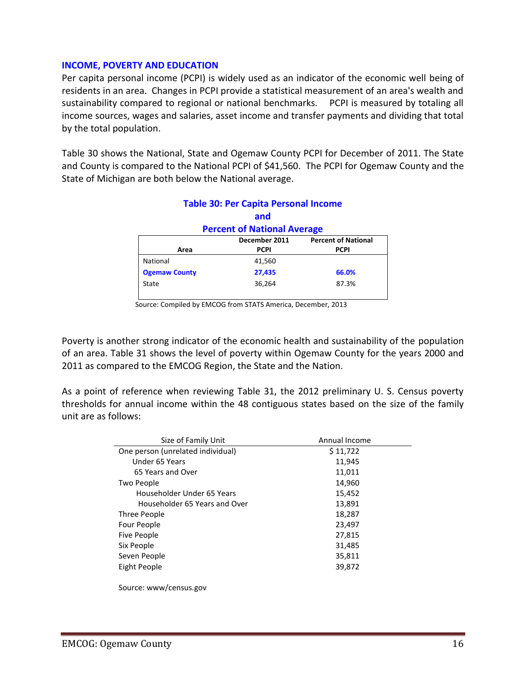#### **INCOME, POVERTY AND EDUCATION**

Per capita personal income (PCPI) is widely used as an indicator of the economic well being of residents in an area. Changes in PCPI provide a statistical measurement of an area's wealth and sustainability compared to regional or national benchmarks. PCPI is measured by totaling all income sources, wages and salaries, asset income and transfer payments and dividing that total by the total population.

Table 30 shows the National, State and Ogemaw County PCPI for December of 2011. The State and County is compared to the National PCPI of \$41,560. The PCPI for Ogemaw County and the State of Michigan are both below the National average.

|                                             | <b>Table 30: Per Capita Personal Income</b> |             |  |  |  |  |
|---------------------------------------------|---------------------------------------------|-------------|--|--|--|--|
|                                             | and                                         |             |  |  |  |  |
|                                             | <b>Percent of National Average</b>          |             |  |  |  |  |
| December 2011<br><b>Percent of National</b> |                                             |             |  |  |  |  |
| Area                                        | <b>PCPI</b>                                 | <b>PCPI</b> |  |  |  |  |
| National                                    | 41,560                                      |             |  |  |  |  |
| <b>Ogemaw County</b>                        | 27,435                                      | 66.0%       |  |  |  |  |
| State                                       | 36,264                                      | 87.3%       |  |  |  |  |
|                                             |                                             |             |  |  |  |  |

Source: Compiled by EMCOG from STATS America, December, 2013

Poverty is another strong indicator of the economic health and sustainability of the population of an area. Table 31 shows the level of poverty within Ogemaw County for the years 2000 and 2011 as compared to the EMCOG Region, the State and the Nation.

As a point of reference when reviewing Table 31, the 2012 preliminary U. S. Census poverty thresholds for annual income within the 48 contiguous states based on the size of the family unit are as follows:

| Size of Family Unit               | Annual Income |
|-----------------------------------|---------------|
| One person (unrelated individual) | \$11,722      |
| Under 65 Years                    | 11,945        |
| 65 Years and Over                 | 11,011        |
| Two People                        | 14,960        |
| Householder Under 65 Years        | 15,452        |
| Householder 65 Years and Over     | 13,891        |
| Three People                      | 18,287        |
| Four People                       | 23,497        |
| <b>Five People</b>                | 27,815        |
| Six People                        | 31,485        |
| Seven People                      | 35,811        |
| Eight People                      | 39,872        |
|                                   |               |
|                                   |               |

Source: www/census.gov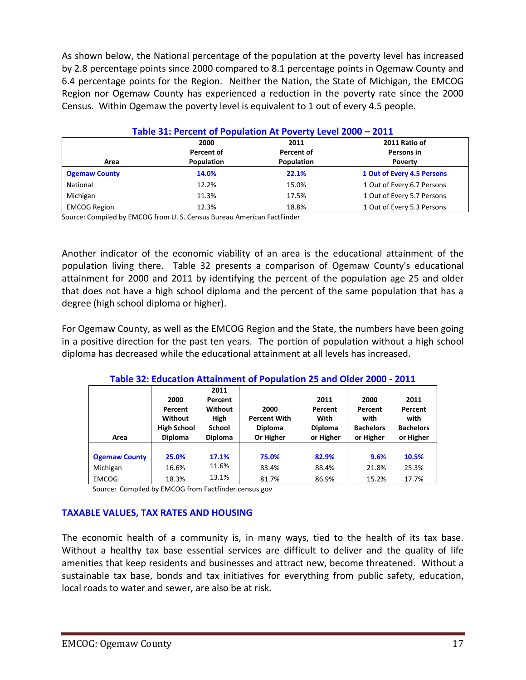As shown below, the National percentage of the population at the poverty level has increased by 2.8 percentage points since 2000 compared to 8.1 percentage points in Ogemaw County and 6.4 percentage points for the Region. Neither the Nation, the State of Michigan, the EMCOG Region nor Ogemaw County has experienced a reduction in the poverty rate since the 2000 Census. Within Ogemaw the poverty level is equivalent to 1 out of every 4.5 people.

| Table 31: Percent of Population At Poverty Level 2000 - 2011 |            |            |                                   |  |  |  |
|--------------------------------------------------------------|------------|------------|-----------------------------------|--|--|--|
|                                                              | 2000       | 2011       | 2011 Ratio of                     |  |  |  |
|                                                              | Percent of | Percent of | Persons in                        |  |  |  |
| Area                                                         | Population | Population | Poverty                           |  |  |  |
| <b>Ogemaw County</b>                                         | 14.0%      | 22.1%      | <b>1 Out of Every 4.5 Persons</b> |  |  |  |
| National                                                     | 12.2%      | 15.0%      | 1 Out of Every 6.7 Persons        |  |  |  |
| Michigan                                                     | 11.3%      | 17.5%      | 1 Out of Every 5.7 Persons        |  |  |  |
| <b>EMCOG Region</b>                                          | 12.3%      | 18.8%      | 1 Out of Every 5.3 Persons        |  |  |  |

Source: Compiled by EMCOG from U. S. Census Bureau American FactFinder

Another indicator of the economic viability of an area is the educational attainment of the population living there. Table 32 presents a comparison of Ogemaw County's educational attainment for 2000 and 2011 by identifying the percent of the population age 25 and older that does not have a high school diploma and the percent of the same population that has a degree (high school diploma or higher).

For Ogemaw County, as well as the EMCOG Region and the State, the numbers have been going in a positive direction for the past ten years. The portion of population without a high school diploma has decreased while the educational attainment at all levels has increased.

|                      | 2000<br>Percent<br><b>Without</b><br><b>High School</b> | 2011<br>Percent<br>Without<br>High<br>School | <u>iavic J2. Luutativii Attailiileilt vi Topulativii 29 allu Oluci 2000 - 2011</u><br>2000<br><b>Percent With</b><br><b>Diploma</b> | 2011<br>Percent<br>With<br><b>Diploma</b> | 2000<br>Percent<br>with<br><b>Bachelors</b> | 2011<br>Percent<br>with<br><b>Bachelors</b> |
|----------------------|---------------------------------------------------------|----------------------------------------------|-------------------------------------------------------------------------------------------------------------------------------------|-------------------------------------------|---------------------------------------------|---------------------------------------------|
| Area                 | <b>Diploma</b>                                          | <b>Diploma</b>                               | Or Higher                                                                                                                           | or Higher                                 | or Higher                                   | or Higher                                   |
| <b>Ogemaw County</b> | 25.0%                                                   | 17.1%                                        | 75.0%                                                                                                                               | 82.9%                                     | 9.6%                                        | 10.5%                                       |
| Michigan             | 16.6%                                                   | 11.6%                                        | 83.4%                                                                                                                               | 88.4%                                     | 21.8%                                       | 25.3%                                       |
| <b>EMCOG</b>         | 18.3%                                                   | 13.1%                                        | 81.7%                                                                                                                               | 86.9%                                     | 15.2%                                       | 17.7%                                       |

#### **Table 32: Education Attainment of Population 25 and Older 2000 - 2011**

Source: Compiled by EMCOG from Factfinder.census.gov

#### **TAXABLE VALUES, TAX RATES AND HOUSING**

The economic health of a community is, in many ways, tied to the health of its tax base. Without a healthy tax base essential services are difficult to deliver and the quality of life amenities that keep residents and businesses and attract new, become threatened. Without a sustainable tax base, bonds and tax initiatives for everything from public safety, education, local roads to water and sewer, are also be at risk.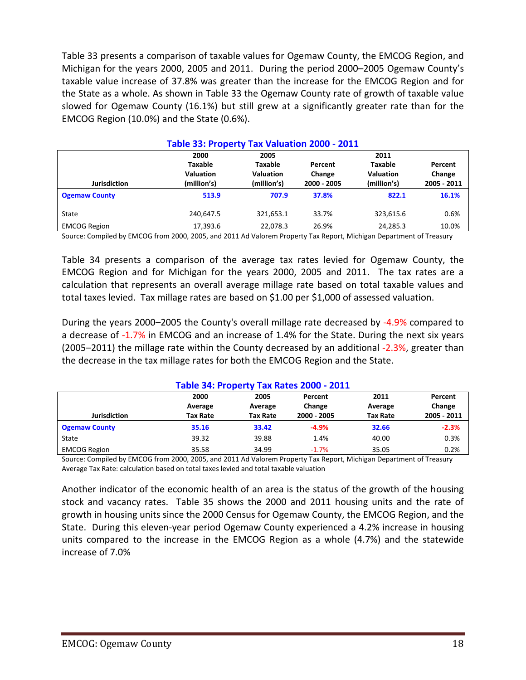Table 33 presents a comparison of taxable values for Ogemaw County, the EMCOG Region, and Michigan for the years 2000, 2005 and 2011. During the period 2000–2005 Ogemaw County's taxable value increase of 37.8% was greater than the increase for the EMCOG Region and for the State as a whole. As shown in Table 33 the Ogemaw County rate of growth of taxable value slowed for Ogemaw County (16.1%) but still grew at a significantly greater rate than for the EMCOG Region (10.0%) and the State (0.6%).

| Table 33: Property Tax Valuation 2000 - 2011 |                                 |                                 |                       |                                 |                       |  |
|----------------------------------------------|---------------------------------|---------------------------------|-----------------------|---------------------------------|-----------------------|--|
|                                              | 2000                            | 2005                            |                       | 2011                            |                       |  |
|                                              | <b>Taxable</b>                  | <b>Taxable</b>                  | Percent               | <b>Taxable</b>                  | Percent               |  |
| <b>Jurisdiction</b>                          | <b>Valuation</b><br>(million's) | <b>Valuation</b><br>(million's) | Change<br>2000 - 2005 | <b>Valuation</b><br>(million's) | Change<br>2005 - 2011 |  |
| <b>Ogemaw County</b>                         | 513.9                           | 707.9                           | 37.8%                 | 822.1                           | 16.1%                 |  |
| State                                        | 240.647.5                       | 321,653.1                       | 33.7%                 | 323,615.6                       | 0.6%                  |  |
| <b>EMCOG Region</b>                          | 17,393.6                        | 22,078.3                        | 26.9%                 | 24,285.3                        | 10.0%                 |  |

Source: Compiled by EMCOG from 2000, 2005, and 2011 Ad Valorem Property Tax Report, Michigan Department of Treasury

Table 34 presents a comparison of the average tax rates levied for Ogemaw County, the EMCOG Region and for Michigan for the years 2000, 2005 and 2011. The tax rates are a calculation that represents an overall average millage rate based on total taxable values and total taxes levied. Tax millage rates are based on \$1.00 per \$1,000 of assessed valuation.

During the years 2000–2005 the County's overall millage rate decreased by -4.9% compared to a decrease of -1.7% in EMCOG and an increase of 1.4% for the State. During the next six years (2005–2011) the millage rate within the County decreased by an additional -2.3%, greater than the decrease in the tax millage rates for both the EMCOG Region and the State.

| Table 34: Property Tax Rates 2000 - 2011 |                                    |                                    |                                  |                                    |                                  |  |
|------------------------------------------|------------------------------------|------------------------------------|----------------------------------|------------------------------------|----------------------------------|--|
| <b>Jurisdiction</b>                      | 2000<br>Average<br><b>Tax Rate</b> | 2005<br>Average<br><b>Tax Rate</b> | Percent<br>Change<br>2000 - 2005 | 2011<br>Average<br><b>Tax Rate</b> | Percent<br>Change<br>2005 - 2011 |  |
| <b>Ogemaw County</b>                     | 35.16                              | 33.42                              | $-4.9%$                          | 32.66                              | $-2.3%$                          |  |
| State                                    | 39.32                              | 39.88                              | 1.4%                             | 40.00                              | 0.3%                             |  |
| <b>EMCOG Region</b>                      | 35.58                              | 34.99                              | $-1.7%$                          | 35.05                              | 0.2%                             |  |

Source: Compiled by EMCOG from 2000, 2005, and 2011 Ad Valorem Property Tax Report, Michigan Department of Treasury Average Tax Rate: calculation based on total taxes levied and total taxable valuation

Another indicator of the economic health of an area is the status of the growth of the housing stock and vacancy rates. Table 35 shows the 2000 and 2011 housing units and the rate of growth in housing units since the 2000 Census for Ogemaw County, the EMCOG Region, and the State. During this eleven-year period Ogemaw County experienced a 4.2% increase in housing units compared to the increase in the EMCOG Region as a whole (4.7%) and the statewide increase of 7.0%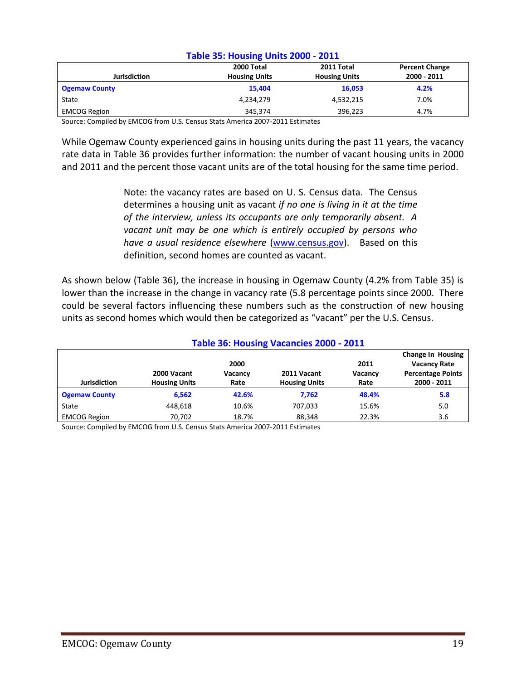| Table 35. Housing Units 2000 - 2011 |                          |                      |                       |  |  |  |
|-------------------------------------|--------------------------|----------------------|-----------------------|--|--|--|
|                                     | 2011 Total<br>2000 Total |                      | <b>Percent Change</b> |  |  |  |
| <b>Jurisdiction</b>                 | <b>Housing Units</b>     | <b>Housing Units</b> | 2000 - 2011           |  |  |  |
| <b>Ogemaw County</b>                | 15,404                   | 16,053               | 4.2%                  |  |  |  |
| State                               | 4,234,279                | 4,532,215            | 7.0%                  |  |  |  |
| <b>EMCOG Region</b>                 | 345,374                  | 396,223              | 4.7%                  |  |  |  |

#### **Table 35: Housing Units 2000 - 2011**

Source: Compiled by EMCOG from U.S. Census Stats America 2007-2011 Estimates

While Ogemaw County experienced gains in housing units during the past 11 years, the vacancy rate data in Table 36 provides further information: the number of vacant housing units in 2000 and 2011 and the percent those vacant units are of the total housing for the same time period.

> Note: the vacancy rates are based on U. S. Census data. The Census determines a housing unit as vacant *if no one is living in it at the time of the interview, unless its occupants are only temporarily absent. A vacant unit may be one which is entirely occupied by persons who have a usual residence elsewhere* [\(www.census.gov\)](http://www.census.gov/). Based on this definition, second homes are counted as vacant.

As shown below (Table 36), the increase in housing in Ogemaw County (4.2% from Table 35) is lower than the increase in the change in vacancy rate (5.8 percentage points since 2000. There could be several factors influencing these numbers such as the construction of new housing units as second homes which would then be categorized as "vacant" per the U.S. Census.

| Table 36: Housing Vacancies 2000 - 2011 |                      |         |                      |         |                                                 |  |
|-----------------------------------------|----------------------|---------|----------------------|---------|-------------------------------------------------|--|
|                                         |                      | 2000    |                      | 2011    | <b>Change In Housing</b><br><b>Vacancy Rate</b> |  |
|                                         | 2000 Vacant          | Vacancy | 2011 Vacant          | Vacancy | <b>Percentage Points</b>                        |  |
| <b>Jurisdiction</b>                     | <b>Housing Units</b> | Rate    | <b>Housing Units</b> | Rate    | 2000 - 2011                                     |  |
| <b>Ogemaw County</b>                    | 6.562                | 42.6%   | 7.762                | 48.4%   | 5.8                                             |  |
| State                                   | 448,618              | 10.6%   | 707.033              | 15.6%   | 5.0                                             |  |
| <b>EMCOG Region</b>                     | 70,702               | 18.7%   | 88,348               | 22.3%   | 3.6                                             |  |

#### **Table 36: Housing Vacancies 2000 - 2011**

Source: Compiled by EMCOG from U.S. Census Stats America 2007-2011 Estimates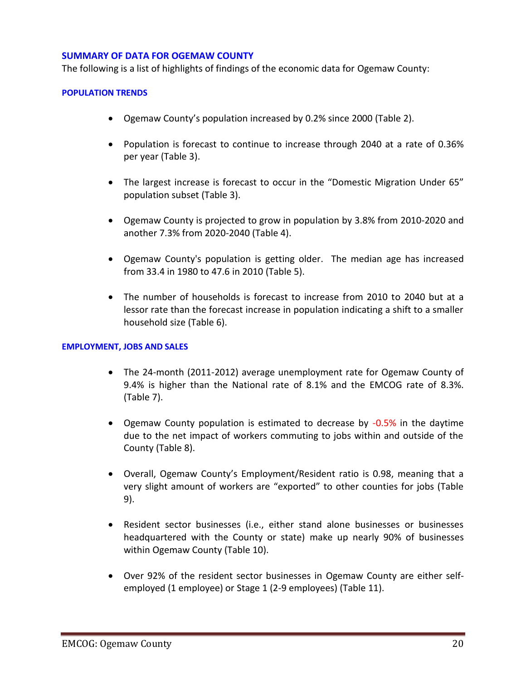#### **SUMMARY OF DATA FOR OGEMAW COUNTY**

The following is a list of highlights of findings of the economic data for Ogemaw County:

#### **POPULATION TRENDS**

- Ogemaw County's population increased by 0.2% since 2000 (Table 2).
- Population is forecast to continue to increase through 2040 at a rate of 0.36% per year (Table 3).
- The largest increase is forecast to occur in the "Domestic Migration Under 65" population subset (Table 3).
- Ogemaw County is projected to grow in population by 3.8% from 2010-2020 and another 7.3% from 2020-2040 (Table 4).
- Ogemaw County's population is getting older. The median age has increased from 33.4 in 1980 to 47.6 in 2010 (Table 5).
- The number of households is forecast to increase from 2010 to 2040 but at a lessor rate than the forecast increase in population indicating a shift to a smaller household size (Table 6).

#### **EMPLOYMENT, JOBS AND SALES**

- The 24-month (2011-2012) average unemployment rate for Ogemaw County of 9.4% is higher than the National rate of 8.1% and the EMCOG rate of 8.3%. (Table 7).
- Ogemaw County population is estimated to decrease by -0.5% in the daytime due to the net impact of workers commuting to jobs within and outside of the County (Table 8).
- Overall, Ogemaw County's Employment/Resident ratio is 0.98, meaning that a very slight amount of workers are "exported" to other counties for jobs (Table 9).
- Resident sector businesses (i.e., either stand alone businesses or businesses headquartered with the County or state) make up nearly 90% of businesses within Ogemaw County (Table 10).
- Over 92% of the resident sector businesses in Ogemaw County are either selfemployed (1 employee) or Stage 1 (2-9 employees) (Table 11).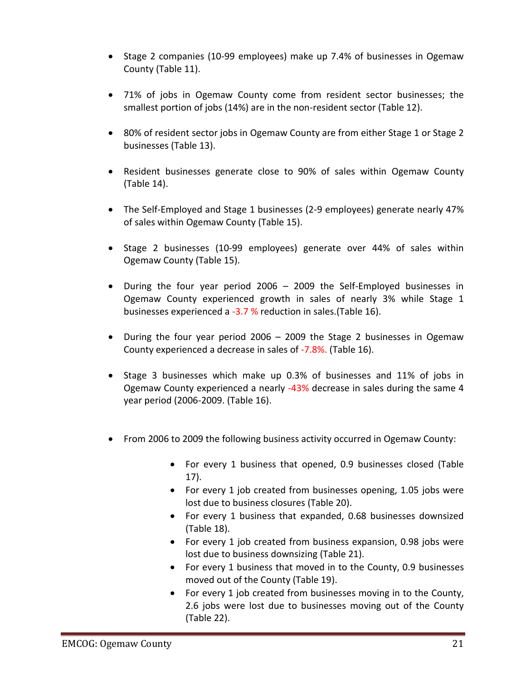- Stage 2 companies (10-99 employees) make up 7.4% of businesses in Ogemaw County (Table 11).
- 71% of jobs in Ogemaw County come from resident sector businesses; the smallest portion of jobs (14%) are in the non-resident sector (Table 12).
- 80% of resident sector jobs in Ogemaw County are from either Stage 1 or Stage 2 businesses (Table 13).
- Resident businesses generate close to 90% of sales within Ogemaw County (Table 14).
- The Self-Employed and Stage 1 businesses (2-9 employees) generate nearly 47% of sales within Ogemaw County (Table 15).
- Stage 2 businesses (10-99 employees) generate over 44% of sales within Ogemaw County (Table 15).
- During the four year period 2006 2009 the Self-Employed businesses in Ogemaw County experienced growth in sales of nearly 3% while Stage 1 businesses experienced a -3.7 % reduction in sales. (Table 16).
- During the four year period 2006 2009 the Stage 2 businesses in Ogemaw County experienced a decrease in sales of -7.8%. (Table 16).
- Stage 3 businesses which make up 0.3% of businesses and 11% of jobs in Ogemaw County experienced a nearly -43% decrease in sales during the same 4 year period (2006-2009. (Table 16).
- From 2006 to 2009 the following business activity occurred in Ogemaw County:
	- For every 1 business that opened, 0.9 businesses closed (Table 17).
	- For every 1 job created from businesses opening, 1.05 jobs were lost due to business closures (Table 20).
	- For every 1 business that expanded, 0.68 businesses downsized (Table 18).
	- For every 1 job created from business expansion, 0.98 jobs were lost due to business downsizing (Table 21).
	- For every 1 business that moved in to the County, 0.9 businesses moved out of the County (Table 19).
	- For every 1 job created from businesses moving in to the County, 2.6 jobs were lost due to businesses moving out of the County (Table 22).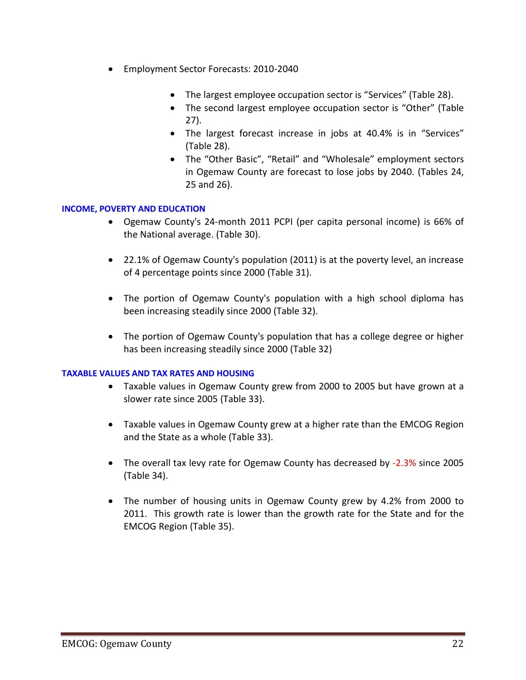- Employment Sector Forecasts: 2010-2040
	- The largest employee occupation sector is "Services" (Table 28).
	- The second largest employee occupation sector is "Other" (Table 27).
	- The largest forecast increase in jobs at 40.4% is in "Services" (Table 28).
	- The "Other Basic", "Retail" and "Wholesale" employment sectors in Ogemaw County are forecast to lose jobs by 2040. (Tables 24, 25 and 26).

#### **INCOME, POVERTY AND EDUCATION**

- Ogemaw County's 24-month 2011 PCPI (per capita personal income) is 66% of the National average. (Table 30).
- 22.1% of Ogemaw County's population (2011) is at the poverty level, an increase of 4 percentage points since 2000 (Table 31).
- The portion of Ogemaw County's population with a high school diploma has been increasing steadily since 2000 (Table 32).
- The portion of Ogemaw County's population that has a college degree or higher has been increasing steadily since 2000 (Table 32)

#### **TAXABLE VALUES AND TAX RATES AND HOUSING**

- Taxable values in Ogemaw County grew from 2000 to 2005 but have grown at a slower rate since 2005 (Table 33).
- Taxable values in Ogemaw County grew at a higher rate than the EMCOG Region and the State as a whole (Table 33).
- The overall tax levy rate for Ogemaw County has decreased by -2.3% since 2005 (Table 34).
- The number of housing units in Ogemaw County grew by 4.2% from 2000 to 2011. This growth rate is lower than the growth rate for the State and for the EMCOG Region (Table 35).